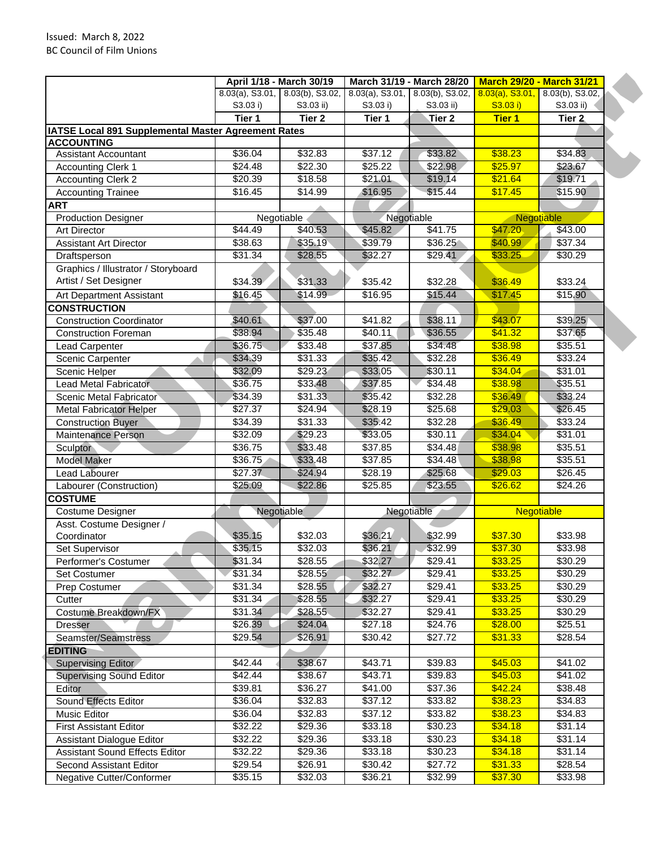|                                                     |          | April 1/18 - March 30/19        |            | March 31/19 - March 28/20          | <b>March 29/20 - March 31/21</b>   |                   |
|-----------------------------------------------------|----------|---------------------------------|------------|------------------------------------|------------------------------------|-------------------|
|                                                     |          | 8.03(a), S3.01, 8.03(b), S3.02, |            | $8.03(a)$ , S3.01, 8.03(b), S3.02, | $8.03(a)$ , S3.01, 8.03(b), S3.02, |                   |
|                                                     | S3.03 i) | S3.03 ii)                       | S3.03 i)   | S3.03 ii)                          | S3.03 i)                           | S3.03 ii)         |
|                                                     | Tier 1   | Tier 2                          | Tier 1     | Tier 2                             | <b>Tier 1</b>                      | Tier 2            |
| IATSE Local 891 Supplemental Master Agreement Rates |          |                                 |            |                                    |                                    |                   |
| <b>ACCOUNTING</b>                                   |          |                                 |            |                                    |                                    |                   |
| <b>Assistant Accountant</b>                         | \$36.04  | \$32.83                         | \$37.12    | \$33.82                            | \$38.23                            | \$34.83           |
| <b>Accounting Clerk 1</b>                           | \$24.48  | \$22.30                         | \$25.22    | \$22.98                            | \$25.97                            | \$23.67           |
| <b>Accounting Clerk 2</b>                           | \$20.39  | \$18.58                         | \$21.01    | \$19.14                            | \$21.64                            | \$19.71           |
| <b>Accounting Trainee</b>                           | \$16.45  | \$14.99                         | \$16.95    | \$15.44                            | \$17.45                            | \$15.90           |
| <b>ART</b>                                          |          |                                 |            |                                    |                                    |                   |
| <b>Production Designer</b>                          |          | Negotiable                      | Negotiable |                                    | Negotiable                         |                   |
| <b>Art Director</b>                                 | \$44.49  | \$40.53                         | \$45.82    | \$41.75                            | \$47,20                            | \$43.00           |
| <b>Assistant Art Director</b>                       | \$38.63  | \$35.19                         | \$39.79    | \$36.25                            | \$40.99                            | \$37.34           |
| Draftsperson                                        | \$31.34  | \$28.55                         | \$32.27    | \$29.41                            | \$33.25                            | \$30.29           |
| Graphics / Illustrator / Storyboard                 |          |                                 |            |                                    |                                    |                   |
| Artist / Set Designer                               |          | \$31.33                         |            |                                    | \$36.49                            |                   |
|                                                     | \$34.39  |                                 | \$35.42    | \$32.28                            |                                    | \$33.24           |
| Art Department Assistant                            | \$16.45  | \$14.99                         | \$16.95    | \$15.44                            | \$17.45                            | \$15.90           |
| <b>CONSTRUCTION</b>                                 |          |                                 |            |                                    |                                    |                   |
| <b>Construction Coordinator</b>                     | \$40.61  | \$37.00                         | \$41.82    | \$38.11                            | \$43.07                            | \$39.25           |
| <b>Construction Foreman</b>                         | \$38.94  | \$35.48                         | \$40.11    | \$36.55                            | \$41.32                            | \$37.65           |
| <b>Lead Carpenter</b>                               | \$36.75  | \$33.48                         | \$37.85    | \$34.48                            | \$38.98                            | \$35.51           |
| Scenic Carpenter                                    | \$34.39  | \$31.33                         | \$35.42    | \$32.28                            | \$36.49                            | \$33.24           |
| Scenic Helper                                       | \$32.09  | \$29.23                         | \$33.05    | \$30.11                            | \$34.04                            | \$31.01           |
| Lead Metal Fabricator                               | \$36.75  | \$33.48                         | \$37.85    | \$34.48                            | \$38.98                            | \$35.51           |
| Scenic Metal Fabricator                             | \$34.39  | \$31.33                         | \$35.42    | \$32.28                            | \$36.49                            | \$33.24           |
| <b>Metal Fabricator Helper</b>                      | \$27.37  | \$24.94                         | \$28.19    | \$25.68                            | \$29.03                            | \$26.45           |
| <b>Construction Buyer</b>                           | \$34.39  | \$31.33                         | \$35.42    | \$32.28                            | \$36.49                            | \$33.24           |
| Maintenance Person                                  | \$32.09  | \$29.23                         | \$33.05    | \$30.11                            | \$34.04                            | \$31.01           |
| <b>Sculptor</b>                                     | \$36.75  | \$33.48                         | \$37.85    | \$34.48                            | \$38.98                            | \$35.51           |
| <b>Model Maker</b>                                  | \$36.75  | \$33.48                         | \$37.85    | \$34.48                            | \$38.98                            | \$35.51           |
| Lead Labourer                                       | \$27.37  | \$24.94                         | \$28.19    | \$25.68                            | \$29.03                            | \$26.45           |
| Labourer (Construction)                             | \$25.09  | \$22.86                         | \$25.85    | \$23.55                            | \$26.62                            | \$24.26           |
| <b>COSTUME</b>                                      |          |                                 |            |                                    |                                    |                   |
| Costume Designer                                    |          | Negotiable                      |            | Negotiable                         |                                    | <b>Negotiable</b> |
| Asst. Costume Designer /                            |          |                                 |            |                                    |                                    |                   |
| Coordinator                                         | \$35.15  | \$32.03                         | \$36.21    | \$32.99                            | \$37.30                            | \$33.98           |
| Set Supervisor                                      | \$35.15  | \$32.03                         | \$36.21    | \$32.99                            | \$37.30                            | \$33.98           |
| Performer's Costumer                                | \$31.34  | \$28.55                         | \$32.27    | \$29.41                            | \$33.25                            | \$30.29           |
| <b>Set Costumer</b>                                 | \$31.34  | \$28.55                         | \$32.27    | \$29.41                            | \$33.25                            | \$30.29           |
| Prep Costumer                                       | \$31.34  | \$28.55                         | \$32.27    | \$29.41                            | \$33.25                            | \$30.29           |
| Cutter                                              | \$31.34  | \$28.55                         | \$32.27    | \$29.41                            | \$33.25                            | \$30.29           |
| Costume Breakdown/FX                                | \$31.34  | \$28.55                         | \$32.27    | \$29.41                            | \$33.25                            | \$30.29           |
| <b>Dresser</b>                                      | \$26.39  | \$24.04                         | \$27.18    | \$24.76                            | \$28.00                            | \$25.51           |
| Seamster/Seamstress                                 | \$29.54  | \$26.91                         | \$30.42    | \$27.72                            | \$31.33                            | \$28.54           |
|                                                     |          |                                 |            |                                    |                                    |                   |
| <b>EDITING</b>                                      |          |                                 |            |                                    |                                    |                   |
| Supervising Editor                                  | \$42.44  | \$38.67                         | \$43.71    | \$39.83                            | \$45.03                            | \$41.02           |
| <b>Supervising Sound Editor</b>                     | \$42.44  | \$38.67                         | \$43.71    | \$39.83                            | \$45.03                            | \$41.02           |
| Editor                                              | \$39.81  | \$36.27                         | \$41.00    | \$37.36                            | \$42.24                            | \$38.48           |
| Sound Effects Editor                                | \$36.04  | \$32.83                         | \$37.12    | \$33.82                            | \$38.23                            | \$34.83           |
| Music Editor                                        | \$36.04  | \$32.83                         | \$37.12    | \$33.82                            | \$38.23                            | \$34.83           |
| <b>First Assistant Editor</b>                       | \$32.22  | \$29.36                         | \$33.18    | \$30.23                            | \$34.18                            | \$31.14           |
| Assistant Dialogue Editor                           | \$32.22  | \$29.36                         | \$33.18    | \$30.23                            | \$34.18                            | \$31.14           |
| Assistant Sound Effects Editor                      | \$32.22  | \$29.36                         | \$33.18    | \$30.23                            | \$34.18                            | \$31.14           |
| Second Assistant Editor                             | \$29.54  | \$26.91                         | \$30.42    | \$27.72                            | \$31.33                            | \$28.54           |
| Negative Cutter/Conformer                           | \$35.15  | \$32.03                         | \$36.21    | \$32.99                            | \$37.30                            | \$33.98           |
|                                                     |          |                                 |            |                                    |                                    |                   |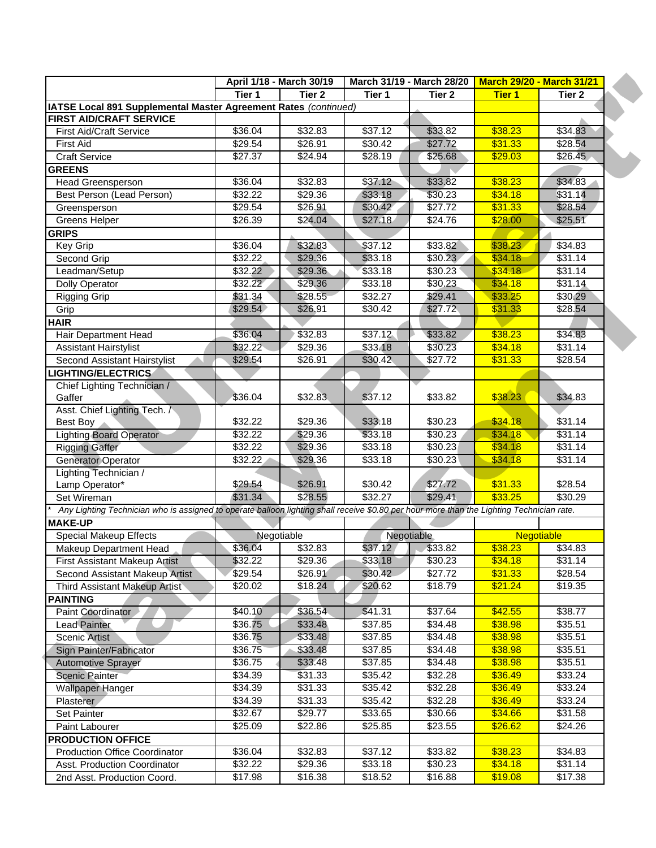|                                                                                                                                           | April 1/18 - March 30/19 |                   | March 31/19 - March 28/20 March 29/20 - March 31/21 |                   |               |            |
|-------------------------------------------------------------------------------------------------------------------------------------------|--------------------------|-------------------|-----------------------------------------------------|-------------------|---------------|------------|
|                                                                                                                                           | Tier 1                   | Tier <sub>2</sub> | Tier 1                                              | Tier <sub>2</sub> | <b>Tier 1</b> | Tier 2     |
| IATSE Local 891 Supplemental Master Agreement Rates (continued)                                                                           |                          |                   |                                                     |                   |               |            |
| <b>FIRST AID/CRAFT SERVICE</b>                                                                                                            |                          |                   |                                                     |                   |               |            |
| <b>First Aid/Craft Service</b>                                                                                                            | \$36.04                  | \$32.83           | \$37.12                                             | \$33.82           | \$38.23       | \$34.83    |
| <b>First Aid</b>                                                                                                                          | \$29.54                  | \$26.91           | \$30.42                                             | \$27.72           | \$31.33       | \$28.54    |
| <b>Craft Service</b>                                                                                                                      | \$27.37                  | \$24.94           | \$28.19                                             | \$25.68           | \$29.03       | \$26.45    |
| <b>GREENS</b>                                                                                                                             |                          |                   |                                                     |                   |               |            |
| <b>Head Greensperson</b>                                                                                                                  | \$36.04                  | \$32.83           | \$37.12                                             | \$33.82           | \$38.23       | \$34.83    |
| Best Person (Lead Person)                                                                                                                 | \$32.22                  | \$29.36           | \$33.18                                             | \$30.23           | \$34.18       | \$31.14    |
| Greensperson                                                                                                                              | \$29.54                  | \$26.91           | \$30.42                                             | \$27.72           | \$31.33       | \$28.54    |
| Greens Helper                                                                                                                             | \$26.39                  | \$24.04           | \$27.18                                             | \$24.76           | \$28.00       | \$25.51    |
| <b>GRIPS</b>                                                                                                                              |                          |                   |                                                     |                   |               |            |
| Key Grip                                                                                                                                  | \$36.04                  | \$32.83           | \$37.12                                             | \$33.82           | \$38.23       | \$34.83    |
| Second Grip                                                                                                                               | \$32.22                  | \$29.36           | \$33.18                                             | \$30.23           | \$34.18       | \$31.14    |
| Leadman/Setup                                                                                                                             | \$32.22                  | \$29.36           | \$33.18                                             | \$30.23           | \$34.18       | \$31.14    |
| Dolly Operator                                                                                                                            | \$32.22                  | \$29.36           | \$33.18                                             | \$30.23           | \$34.18       | \$31.14    |
| <b>Rigging Grip</b>                                                                                                                       | \$31.34                  | \$28.55           | \$32.27                                             | \$29.41           | \$33.25       | \$30.29    |
| Grip                                                                                                                                      | \$29.54                  | \$26.91           | \$30.42                                             | \$27.72           | \$31.33       | \$28.54    |
| <b>HAIR</b>                                                                                                                               |                          |                   |                                                     |                   |               |            |
| Hair Department Head                                                                                                                      | \$36.04                  | \$32.83           | \$37.12                                             | \$33.82           | \$38.23       | \$34.83    |
| <b>Assistant Hairstylist</b>                                                                                                              | \$32.22\$                | \$29.36           | \$33.18                                             | \$30.23           | \$34.18       | \$31.14    |
| Second Assistant Hairstylist                                                                                                              | \$29.54                  | \$26.91           | \$30.42                                             | \$27.72           | \$31.33       | \$28.54    |
| <b>LIGHTING/ELECTRICS</b>                                                                                                                 |                          |                   |                                                     |                   |               |            |
| Chief Lighting Technician /<br>Gaffer                                                                                                     | \$36.04                  | \$32.83           | \$37.12                                             | \$33.82           | \$38.23       | \$34.83    |
| Asst. Chief Lighting Tech. /                                                                                                              |                          |                   |                                                     |                   |               |            |
| Best Boy                                                                                                                                  | \$32.22                  | \$29.36           | \$33.18                                             | \$30.23           | \$34.18       | \$31.14    |
| Lighting Board Operator                                                                                                                   | \$32.22                  | \$29.36           | \$33.18                                             | \$30.23           | \$34.18       | \$31.14    |
| <b>Rigging Gaffer</b>                                                                                                                     | \$32.22                  | \$29.36           | \$33.18                                             | \$30.23           | \$34.18       | \$31.14    |
| <b>Generator Operator</b>                                                                                                                 | \$32.22                  | \$29.36           | \$33.18                                             | \$30.23           | \$34.18       | \$31.14    |
| Lighting Technician /                                                                                                                     |                          |                   |                                                     |                   |               |            |
| Lamp Operator*                                                                                                                            | \$29.54                  | \$26.91           | \$30.42                                             | \$27.72           | \$31.33       | \$28.54    |
| Set Wireman                                                                                                                               | \$31.34                  | \$28.55           | \$32.27                                             | \$29.41           | \$33.25       | \$30.29    |
| Any Lighting Technician who is assigned to operate balloon lighting shall receive \$0.80 per hour more than the Lighting Technician rate. |                          |                   |                                                     |                   |               |            |
| <b>MAKE-UP</b>                                                                                                                            |                          |                   |                                                     |                   |               |            |
| <b>Special Makeup Effects</b>                                                                                                             |                          | Negotiable        |                                                     | Negotiable        |               | Negotiable |
| <b>Makeup Department Head</b>                                                                                                             | \$36.04                  | \$32.83           | \$37.12                                             | \$33.82           | \$38.23       | \$34.83    |
| <b>First Assistant Makeup Artist</b>                                                                                                      | \$32.22                  | \$29.36           | \$33.18                                             | \$30.23           | \$34.18       | \$31.14    |
| Second Assistant Makeup Artist                                                                                                            | \$29.54                  | \$26.91           | \$30.42                                             | \$27.72           | \$31.33       | \$28.54    |
| Third Assistant Makeup Artist                                                                                                             | \$20.02                  | \$18.24           | \$20.62                                             | \$18.79           | \$21.24       | \$19.35    |
| <b>PAINTING</b>                                                                                                                           |                          |                   |                                                     |                   |               |            |
| Paint Coordinator                                                                                                                         | \$40.10                  | \$36.54           | \$41.31                                             | \$37.64           | \$42.55       | \$38.77    |
| <b>Lead Painter</b>                                                                                                                       | \$36.75                  | \$33.48           | \$37.85                                             | \$34.48           | \$38.98       | \$35.51    |
| <b>Scenic Artist</b>                                                                                                                      | \$36.75                  | \$33.48           | \$37.85                                             | \$34.48           | \$38.98       | \$35.51    |
| Sign Painter/Fabricator                                                                                                                   | \$36.75                  | \$33.48           | \$37.85                                             | \$34.48           | \$38.98       | \$35.51    |
| Automotive Sprayer                                                                                                                        | \$36.75                  | \$33.48           | \$37.85                                             | \$34.48           | \$38.98       | \$35.51    |
| <b>Scenic Painter</b>                                                                                                                     | \$34.39                  | \$31.33           | \$35.42                                             | \$32.28           | \$36.49       | \$33.24    |
| <b>Wallpaper Hanger</b>                                                                                                                   | \$34.39                  | \$31.33           | \$35.42                                             | \$32.28           | \$36.49       | \$33.24    |
| Plasterer                                                                                                                                 | \$34.39                  | \$31.33           | \$35.42                                             | \$32.28           | \$36.49       | \$33.24    |
| Set Painter                                                                                                                               | \$32.67                  | \$29.77           | \$33.65                                             | \$30.66           | \$34.66       | \$31.58    |
| Paint Labourer                                                                                                                            | \$25.09                  | \$22.86           | \$25.85                                             | \$23.55           | \$26.62       | \$24.26    |
| <b>PRODUCTION OFFICE</b>                                                                                                                  |                          |                   |                                                     |                   |               |            |
| <b>Production Office Coordinator</b>                                                                                                      | \$36.04                  | \$32.83           | \$37.12                                             | \$33.82           | \$38.23       | \$34.83    |
| Asst. Production Coordinator                                                                                                              | $\sqrt{$32.22}$          | \$29.36           | \$33.18                                             | \$30.23           | \$34.18       | \$31.14    |
| 2nd Asst. Production Coord.                                                                                                               | \$17.98                  | \$16.38           | \$18.52                                             | \$16.88           | \$19.08       | \$17.38    |
|                                                                                                                                           |                          |                   |                                                     |                   |               |            |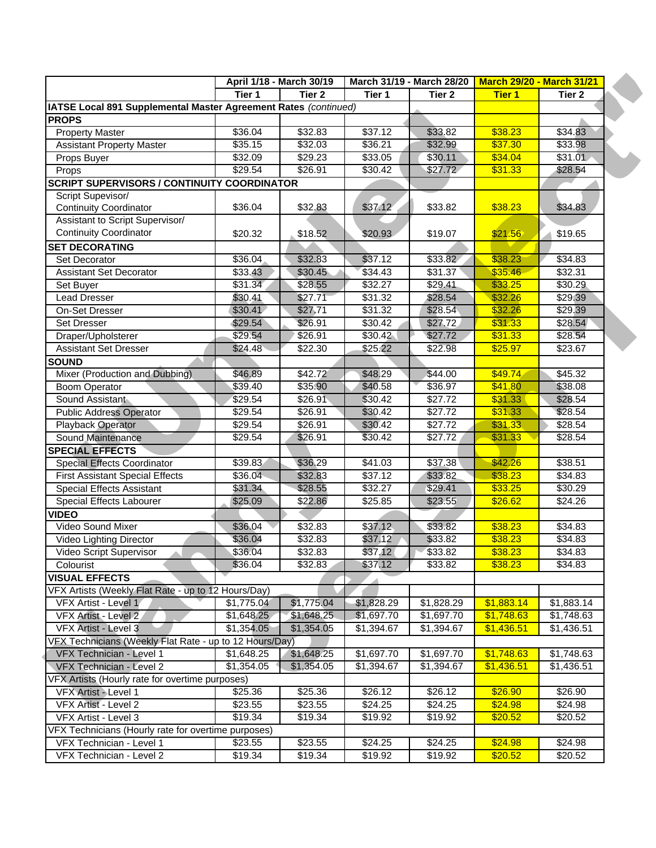|                                                                 | April 1/18 - March 30/19 |                 | March 31/19 - March 28/20   March 29/20 - March 31/21 |                 |               |            |
|-----------------------------------------------------------------|--------------------------|-----------------|-------------------------------------------------------|-----------------|---------------|------------|
|                                                                 | Tier 1                   | Tier 2          | Tier 1                                                | Tier 2          | <b>Tier 1</b> | Tier 2     |
| IATSE Local 891 Supplemental Master Agreement Rates (continued) |                          |                 |                                                       |                 |               |            |
| <b>PROPS</b>                                                    |                          |                 |                                                       |                 |               |            |
| <b>Property Master</b>                                          | $\overline{$}36.04$      | \$32.83         | \$37.12                                               | \$33.82         | \$38.23       | \$34.83    |
| <b>Assistant Property Master</b>                                | \$35.15                  | \$32.03         | \$36.21                                               | \$32.99         | \$37.30       | \$33.98    |
| Props Buyer                                                     | \$32.09                  | $\sqrt{$29.23}$ | \$33.05                                               | \$30.11         | \$34.04       | \$31.01    |
| Props                                                           | \$29.54                  | \$26.91         | \$30.42                                               | \$27.72         | \$31.33       | \$28.54    |
| <b>SCRIPT SUPERVISORS / CONTINUITY COORDINATOR</b>              |                          |                 |                                                       |                 |               |            |
| Script Supevisor/                                               |                          |                 |                                                       |                 |               |            |
| <b>Continuity Coordinator</b>                                   | \$36.04                  | \$32.83         | \$37.12                                               | \$33.82         | \$38.23       | \$34.83    |
| Assistant to Script Supervisor/                                 |                          |                 |                                                       |                 |               |            |
| <b>Continuity Coordinator</b>                                   | \$20.32                  | \$18.52         | \$20.93                                               | \$19.07         | \$21.56       | \$19.65    |
| <b>SET DECORATING</b>                                           |                          |                 |                                                       |                 |               |            |
| Set Decorator                                                   | \$36.04                  | \$32.83         | \$37.12                                               | \$33.82         | \$38.23       | 34.83      |
| <b>Assistant Set Decorator</b>                                  | \$33.43                  | \$30.45         | \$34.43                                               | \$31.37         | \$35.46       | \$32.31    |
| Set Buyer                                                       | \$31.34                  | \$28.55         | \$32.27                                               | \$29.41         | \$33.25       | \$30.29    |
| <b>Lead Dresser</b>                                             | \$30.41                  | \$27.71         | \$31.32                                               | \$28.54         | \$32.26       | \$29.39    |
| On-Set Dresser                                                  | \$30.41                  | \$27.71         | \$31.32                                               | \$28.54         | \$32.26       | \$29.39    |
| Set Dresser                                                     | \$29.54                  | \$26.91         | \$30.42                                               | \$27.72         | \$31.33       | \$28.54    |
| Draper/Upholsterer                                              | \$29.54                  | \$26.91         | \$30.42                                               | \$27.72         | \$31.33       | \$28.54    |
| <b>Assistant Set Dresser</b>                                    | \$24.48                  | \$22.30         | \$25.22                                               | \$22.98         | \$25.97       | \$23.67    |
| <b>SOUND</b>                                                    |                          |                 |                                                       |                 |               |            |
| Mixer (Production and Dubbing)                                  | \$46.89                  | \$42.72         | \$48.29                                               | \$44.00         | \$49.74       | \$45.32    |
| <b>Boom Operator</b>                                            | \$39.40                  | \$35.90         | \$40.58                                               | \$36.97         | \$41.80       | \$38.08    |
| Sound Assistant                                                 | \$29.54                  | \$26.91         | \$30.42                                               | $\sqrt{$27.72}$ | \$31.33       | \$28.54    |
| <b>Public Address Operator</b>                                  | \$29.54                  | \$26.91         | \$30.42                                               | \$27.72         | \$31.33       | \$28.54    |
| Playback Operator                                               | \$29.54                  | \$26.91         | \$30.42                                               | \$27.72         | \$31.33       | \$28.54    |
| Sound Maintenance                                               | \$29.54                  | \$26.91         | \$30.42                                               | \$27.72         | \$31.33       | \$28.54    |
| <b>SPECIAL EFFECTS</b>                                          |                          |                 |                                                       |                 |               |            |
| Special Effects Coordinator                                     | \$39.83                  | \$36.29         | \$41.03                                               | \$37.38         | \$42.26       | \$38.51    |
| <b>First Assistant Special Effects</b>                          | \$36.04                  | \$32.83         | \$37.12                                               | \$33.82         | \$38.23       | \$34.83    |
| <b>Special Effects Assistant</b>                                | \$31.34                  | \$28.55         | \$32.27                                               | \$29.41         | \$33.25       | \$30.29    |
| Special Effects Labourer                                        | \$25.09                  | \$22.86         | \$25.85                                               | \$23.55         | \$26.62       | \$24.26    |
| <b>VIDEO</b>                                                    |                          |                 |                                                       |                 |               |            |
| Video Sound Mixer                                               | \$36.04                  | \$32.83         | \$37.12                                               | \$33.82         | \$38.23       | \$34.83    |
| Video Lighting Director                                         | \$36.04                  | \$32.83         | \$37.12                                               | \$33.82         | \$38.23       | \$34.83    |
| Video Script Supervisor                                         | \$36.04                  | \$32.83         | \$37,12                                               | \$33.82         | \$38.23       | \$34.83    |
| Colourist                                                       | \$36.04                  | \$32.83         | \$37.12                                               | \$33.82         | \$38.23       | \$34.83    |
| <b>VISUAL EFFECTS</b>                                           |                          |                 |                                                       |                 |               |            |
| VFX Artists (Weekly Flat Rate - up to 12 Hours/Day)             |                          |                 |                                                       |                 |               |            |
| VFX Artist - Level 1                                            | \$1,775.04               | \$1,775.04      | \$1,828.29                                            | \$1,828.29      | \$1,883.14    | \$1,883.14 |
| VFX Artist - Level 2                                            | \$1,648.25               | \$1,648.25      | \$1,697.70                                            | \$1,697.70      | \$1,748.63    | \$1,748.63 |
| VFX Artist - Level 3                                            | \$1,354.05               | \$1,354.05      | \$1,394.67                                            | \$1,394.67      | \$1,436.51    | \$1,436.51 |
| VFX Technicians (Weekly Flat Rate - up to 12 Hours/Day)         |                          |                 |                                                       |                 |               |            |
| VFX Technician - Level 1                                        | \$1,648.25               | \$1,648.25      | \$1,697.70                                            | \$1,697.70      | \$1,748.63    | \$1,748.63 |
| VFX Technician - Level 2                                        | \$1,354.05               | \$1,354.05      | \$1,394.67                                            | \$1,394.67      | \$1,436.51    | \$1,436.51 |
| VFX Artists (Hourly rate for overtime purposes)                 |                          |                 |                                                       |                 |               |            |
| VFX Artist - Level 1                                            | \$25.36                  | \$25.36         | \$26.12                                               | \$26.12         | \$26.90       | \$26.90    |
| VFX Artist - Level 2                                            | \$23.55                  | \$23.55         | \$24.25                                               | \$24.25         | \$24.98       | \$24.98    |
| VFX Artist - Level 3                                            | \$19.34                  | \$19.34         | \$19.92                                               | \$19.92         | \$20.52       | \$20.52    |
| VFX Technicians (Hourly rate for overtime purposes)             |                          |                 |                                                       |                 |               |            |
| VFX Technician - Level 1                                        | \$23.55                  | \$23.55         | \$24.25                                               | \$24.25         | \$24.98       | \$24.98    |
| VFX Technician - Level 2                                        | \$19.34                  | \$19.34         | \$19.92                                               | \$19.92         | \$20.52       | \$20.52    |